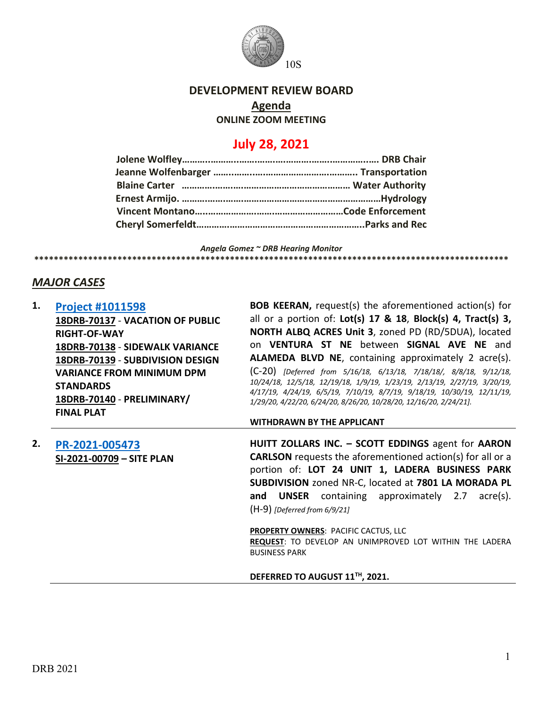

# **DEVELOPMENT REVIEW BOARD**

**Agenda**

**ONLINE ZOOM MEETING**

# **July 28, 2021**

*Angela Gomez ~ DRB Hearing Monitor* **\*\*\*\*\*\*\*\*\*\*\*\*\*\*\*\*\*\*\*\*\*\*\*\*\*\*\*\*\*\*\*\*\*\*\*\*\*\*\*\*\*\*\*\*\*\*\*\*\*\*\*\*\*\*\*\*\*\*\*\*\*\*\*\*\*\*\*\*\*\*\*\*\*\*\*\*\*\*\*\*\*\*\*\*\*\*\*\*\*\*\*\*\*\*\*\*\***

# *MAJOR CASES*

| 1. | <b>Project #1011598</b><br>18DRB-70137 - VACATION OF PUBLIC | <b>BOB KEERAN, request(s) the aforementioned action(s) for</b><br>all or a portion of: Lot(s) 17 & 18, Block(s) 4, Tract(s) 3,               |
|----|-------------------------------------------------------------|----------------------------------------------------------------------------------------------------------------------------------------------|
|    | <b>RIGHT-OF-WAY</b>                                         | NORTH ALBQ ACRES Unit 3, zoned PD (RD/5DUA), located                                                                                         |
|    | 18DRB-70138 - SIDEWALK VARIANCE                             | on VENTURA ST NE between SIGNAL AVE NE and                                                                                                   |
|    | 18DRB-70139 - SUBDIVISION DESIGN                            | <b>ALAMEDA BLVD NE, containing approximately 2 acre(s).</b>                                                                                  |
|    | <b>VARIANCE FROM MINIMUM DPM</b>                            | $(C-20)$ [Deferred from 5/16/18, 6/13/18, 7/18/18/, 8/8/18, 9/12/18,                                                                         |
|    | <b>STANDARDS</b>                                            | 10/24/18, 12/5/18, 12/19/18, 1/9/19, 1/23/19, 2/13/19, 2/27/19, 3/20/19,                                                                     |
|    | 18DRB-70140 - PRELIMINARY/                                  | 4/17/19, 4/24/19, 6/5/19, 7/10/19, 8/7/19, 9/18/19, 10/30/19, 12/11/19,<br>1/29/20, 4/22/20, 6/24/20, 8/26/20, 10/28/20, 12/16/20, 2/24/21]. |
|    | <b>FINAL PLAT</b>                                           |                                                                                                                                              |
|    |                                                             | <b>WITHDRAWN BY THE APPLICANT</b>                                                                                                            |
| 2. | PR-2021-005473                                              | HUITT ZOLLARS INC. - SCOTT EDDINGS agent for AARON                                                                                           |
|    | SI-2021-00709 - SITE PLAN                                   | <b>CARLSON</b> requests the aforementioned action(s) for all or a                                                                            |
|    |                                                             | portion of: LOT 24 UNIT 1, LADERA BUSINESS PARK                                                                                              |
|    |                                                             | SUBDIVISION zoned NR-C, located at 7801 LA MORADA PL                                                                                         |
|    |                                                             | containing approximately 2.7<br><b>UNSER</b><br>acre(s).<br>and                                                                              |
|    |                                                             | $(H-9)$ [Deferred from 6/9/21]                                                                                                               |
|    |                                                             | <b>PROPERTY OWNERS: PACIFIC CACTUS, LLC</b>                                                                                                  |
|    |                                                             |                                                                                                                                              |

**REQUEST**: TO DEVELOP AN UNIMPROVED LOT WITHIN THE LADERA BUSINESS PARK

**DEFERRED TO AUGUST 11TH, 2021.**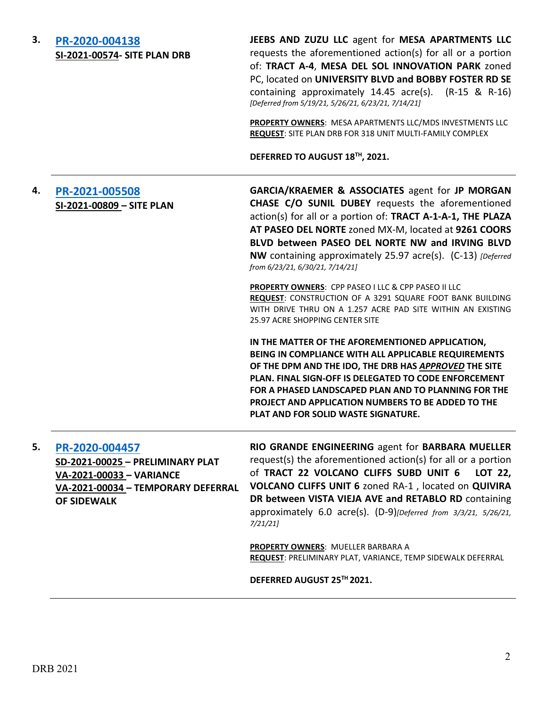| 3. | PR-2020-004138<br><b>SI-2021-00574- SITE PLAN DRB</b>                                                                                      | JEEBS AND ZUZU LLC agent for MESA APARTMENTS LLC<br>requests the aforementioned action(s) for all or a portion<br>of: TRACT A-4, MESA DEL SOL INNOVATION PARK zoned<br>PC, located on UNIVERSITY BLVD and BOBBY FOSTER RD SE<br>containing approximately $14.45$ acre(s). $(R-15 \& R-16)$<br>[Deferred from 5/19/21, 5/26/21, 6/23/21, 7/14/21]                                  |
|----|--------------------------------------------------------------------------------------------------------------------------------------------|-----------------------------------------------------------------------------------------------------------------------------------------------------------------------------------------------------------------------------------------------------------------------------------------------------------------------------------------------------------------------------------|
|    |                                                                                                                                            | PROPERTY OWNERS: MESA APARTMENTS LLC/MDS INVESTMENTS LLC<br>REQUEST: SITE PLAN DRB FOR 318 UNIT MULTI-FAMILY COMPLEX                                                                                                                                                                                                                                                              |
|    |                                                                                                                                            | DEFERRED TO AUGUST 18TH, 2021.                                                                                                                                                                                                                                                                                                                                                    |
| 4. | PR-2021-005508<br>SI-2021-00809 - SITE PLAN                                                                                                | GARCIA/KRAEMER & ASSOCIATES agent for JP MORGAN<br>CHASE C/O SUNIL DUBEY requests the aforementioned<br>action(s) for all or a portion of: TRACT A-1-A-1, THE PLAZA<br>AT PASEO DEL NORTE zoned MX-M, located at 9261 COORS<br>BLVD between PASEO DEL NORTE NW and IRVING BLVD<br>NW containing approximately 25.97 acre(s). (C-13) [Deferred]<br>from 6/23/21, 6/30/21, 7/14/21] |
|    |                                                                                                                                            | PROPERTY OWNERS: CPP PASEO I LLC & CPP PASEO II LLC<br>REQUEST: CONSTRUCTION OF A 3291 SQUARE FOOT BANK BUILDING<br>WITH DRIVE THRU ON A 1.257 ACRE PAD SITE WITHIN AN EXISTING<br>25.97 ACRE SHOPPING CENTER SITE                                                                                                                                                                |
|    |                                                                                                                                            | IN THE MATTER OF THE AFOREMENTIONED APPLICATION,<br>BEING IN COMPLIANCE WITH ALL APPLICABLE REQUIREMENTS<br>OF THE DPM AND THE IDO, THE DRB HAS APPROVED THE SITE<br>PLAN. FINAL SIGN-OFF IS DELEGATED TO CODE ENFORCEMENT<br>FOR A PHASED LANDSCAPED PLAN AND TO PLANNING FOR THE<br>PROJECT AND APPLICATION NUMBERS TO BE ADDED TO THE<br>PLAT AND FOR SOLID WASTE SIGNATURE.   |
| 5. | PR-2020-004457<br>SD-2021-00025 - PRELIMINARY PLAT<br>VA-2021-00033 - VARIANCE<br>VA-2021-00034 - TEMPORARY DEFERRAL<br><b>OF SIDEWALK</b> | RIO GRANDE ENGINEERING agent for BARBARA MUELLER<br>request(s) the aforementioned action(s) for all or a portion<br>of TRACT 22 VOLCANO CLIFFS SUBD UNIT 6<br>LOT 22,<br>VOLCANO CLIFFS UNIT 6 zoned RA-1, located on QUIVIRA<br>DR between VISTA VIEJA AVE and RETABLO RD containing<br>approximately 6.0 acre(s). (D-9)[Deferred from 3/3/21, 5/26/21,<br>7/21/21               |
|    |                                                                                                                                            | PROPERTY OWNERS: MUELLER BARBARA A<br>REQUEST: PRELIMINARY PLAT, VARIANCE, TEMP SIDEWALK DEFERRAL                                                                                                                                                                                                                                                                                 |
|    |                                                                                                                                            | DEFERRED AUGUST 25™ 2021.                                                                                                                                                                                                                                                                                                                                                         |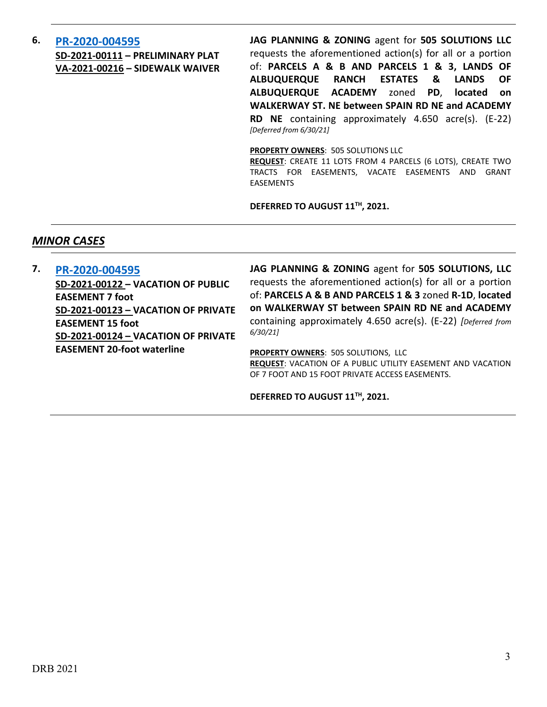## **6. [PR-2020-004595](http://data.cabq.gov/government/planning/DRB/PR-2020-004595/DRB%20Submittals/PR-2020-004595_June_30_2021%20(Prel.%20Plat,%20Sidewalk%20Waiver)/Application/) SD-2021-00111 – PRELIMINARY PLAT VA-2021-00216 – SIDEWALK WAIVER**

**JAG PLANNING & ZONING** agent for **505 SOLUTIONS LLC** requests the aforementioned action(s) for all or a portion of: **PARCELS A & B AND PARCELS 1 & 3, LANDS OF ALBUQUERQUE RANCH ESTATES & LANDS OF ALBUQUERQUE ACADEMY** zoned **PD**, **located on WALKERWAY ST. NE between SPAIN RD NE and ACADEMY RD NE** containing approximately 4.650 acre(s). (E-22) *[Deferred from 6/30/21]*

**PROPERTY OWNERS**: 505 SOLUTIONS LLC

**REQUEST**: CREATE 11 LOTS FROM 4 PARCELS (6 LOTS), CREATE TWO TRACTS FOR EASEMENTS, VACATE EASEMENTS AND GRANT EASEMENTS

**DEFERRED TO AUGUST 11TH, 2021.**

## *MINOR CASES*

**7. [PR-2020-004595](http://data.cabq.gov/government/planning/DRB/PR-2020-004595/DRB%20Submittals/PR-2020-004595_June_30_2021%20(Prel.%20Plat,%20Sidewalk%20Waiver)/Application/ABQ%20Ranch%20Estates-Vacation%20Applications.pdf) SD-2021-00122 – VACATION OF PUBLIC EASEMENT 7 foot SD-2021-00123 – VACATION OF PRIVATE EASEMENT 15 foot SD-2021-00124 – VACATION OF PRIVATE EASEMENT 20-foot waterline**

**JAG PLANNING & ZONING** agent for **505 SOLUTIONS, LLC** requests the aforementioned action(s) for all or a portion of: **PARCELS A & B AND PARCELS 1 & 3** zoned **R-1D**, **located on WALKERWAY ST between SPAIN RD NE and ACADEMY**  containing approximately 4.650 acre(s). (E-22) *[Deferred from 6/30/21]*

**PROPERTY OWNERS**: 505 SOLUTIONS, LLC **REQUEST**: VACATION OF A PUBLIC UTILITY EASEMENT AND VACATION OF 7 FOOT AND 15 FOOT PRIVATE ACCESS EASEMENTS.

**DEFERRED TO AUGUST 11TH, 2021.**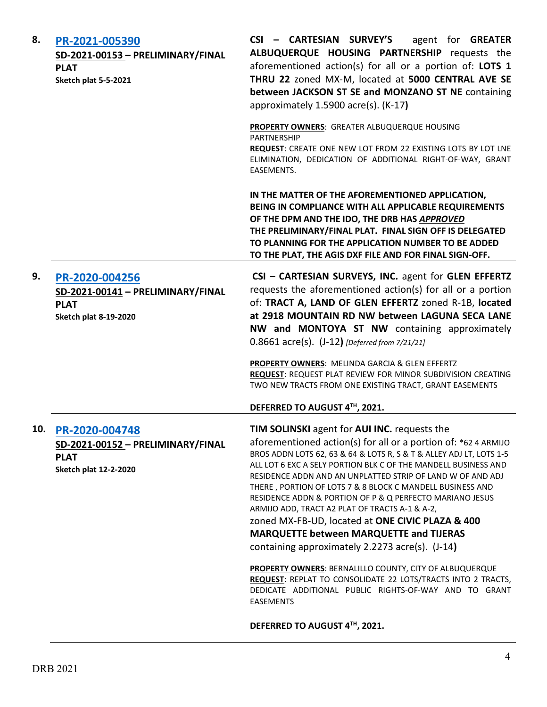| 8. | PR-2021-005390<br>SD-2021-00153 - PRELIMINARY/FINAL<br><b>PLAT</b><br>Sketch plat 5-5-2021             | CSI - CARTESIAN SURVEY'S<br>agent for <b>GREATER</b><br>ALBUQUERQUE HOUSING PARTNERSHIP requests the<br>aforementioned action(s) for all or a portion of: LOTS 1<br>THRU 22 zoned MX-M, located at 5000 CENTRAL AVE SE<br>between JACKSON ST SE and MONZANO ST NE containing<br>approximately 1.5900 acre(s). (K-17)                                                                                                                                                                                                                                                                                                                                                                                                                                                                                                                                              |
|----|--------------------------------------------------------------------------------------------------------|-------------------------------------------------------------------------------------------------------------------------------------------------------------------------------------------------------------------------------------------------------------------------------------------------------------------------------------------------------------------------------------------------------------------------------------------------------------------------------------------------------------------------------------------------------------------------------------------------------------------------------------------------------------------------------------------------------------------------------------------------------------------------------------------------------------------------------------------------------------------|
|    |                                                                                                        | PROPERTY OWNERS: GREATER ALBUQUERQUE HOUSING<br><b>PARTNERSHIP</b><br>REQUEST: CREATE ONE NEW LOT FROM 22 EXISTING LOTS BY LOT LNE<br>ELIMINATION, DEDICATION OF ADDITIONAL RIGHT-OF-WAY, GRANT<br><b>EASEMENTS.</b>                                                                                                                                                                                                                                                                                                                                                                                                                                                                                                                                                                                                                                              |
|    |                                                                                                        | IN THE MATTER OF THE AFOREMENTIONED APPLICATION,<br>BEING IN COMPLIANCE WITH ALL APPLICABLE REQUIREMENTS<br>OF THE DPM AND THE IDO, THE DRB HAS APPROVED<br>THE PRELIMINARY/FINAL PLAT. FINAL SIGN OFF IS DELEGATED<br>TO PLANNING FOR THE APPLICATION NUMBER TO BE ADDED<br>TO THE PLAT, THE AGIS DXF FILE AND FOR FINAL SIGN-OFF.                                                                                                                                                                                                                                                                                                                                                                                                                                                                                                                               |
| 9. | PR-2020-004256<br>SD-2021-00141 - PRELIMINARY/FINAL<br><b>PLAT</b><br><b>Sketch plat 8-19-2020</b>     | CSI - CARTESIAN SURVEYS, INC. agent for GLEN EFFERTZ<br>requests the aforementioned action(s) for all or a portion<br>of: TRACT A, LAND OF GLEN EFFERTZ zoned R-1B, located<br>at 2918 MOUNTAIN RD NW between LAGUNA SECA LANE<br>NW and MONTOYA ST NW containing approximately<br>0.8661 acre(s). (J-12) [Deferred from 7/21/21]<br><b>PROPERTY OWNERS: MELINDA GARCIA &amp; GLEN EFFERTZ</b>                                                                                                                                                                                                                                                                                                                                                                                                                                                                    |
|    |                                                                                                        | REQUEST: REQUEST PLAT REVIEW FOR MINOR SUBDIVISION CREATING<br>TWO NEW TRACTS FROM ONE EXISTING TRACT, GRANT EASEMENTS<br>DEFERRED TO AUGUST 4TH, 2021.                                                                                                                                                                                                                                                                                                                                                                                                                                                                                                                                                                                                                                                                                                           |
|    |                                                                                                        |                                                                                                                                                                                                                                                                                                                                                                                                                                                                                                                                                                                                                                                                                                                                                                                                                                                                   |
|    | 10. PR-2020-004748<br>SD-2021-00152 - PRELIMINARY/FINAL<br><b>PLAT</b><br><b>Sketch plat 12-2-2020</b> | TIM SOLINSKI agent for AUI INC. requests the<br>aforementioned action(s) for all or a portion of: *62 4 ARMIJO<br>BROS ADDN LOTS 62, 63 & 64 & LOTS R, S & T & ALLEY ADJ LT, LOTS 1-5<br>ALL LOT 6 EXC A SELY PORTION BLK C OF THE MANDELL BUSINESS AND<br>RESIDENCE ADDN AND AN UNPLATTED STRIP OF LAND W OF AND ADJ<br>THERE, PORTION OF LOTS 7 & 8 BLOCK C MANDELL BUSINESS AND<br>RESIDENCE ADDN & PORTION OF P & Q PERFECTO MARIANO JESUS<br>ARMIJO ADD, TRACT A2 PLAT OF TRACTS A-1 & A-2,<br>zoned MX-FB-UD, located at ONE CIVIC PLAZA & 400<br><b>MARQUETTE between MARQUETTE and TIJERAS</b><br>containing approximately 2.2273 acre(s). (J-14)<br>PROPERTY OWNERS: BERNALILLO COUNTY, CITY OF ALBUQUERQUE<br>REQUEST: REPLAT TO CONSOLIDATE 22 LOTS/TRACTS INTO 2 TRACTS,<br>DEDICATE ADDITIONAL PUBLIC RIGHTS-OF-WAY AND TO GRANT<br><b>EASEMENTS</b> |
|    |                                                                                                        | DEFERRED TO AUGUST 4TH, 2021.                                                                                                                                                                                                                                                                                                                                                                                                                                                                                                                                                                                                                                                                                                                                                                                                                                     |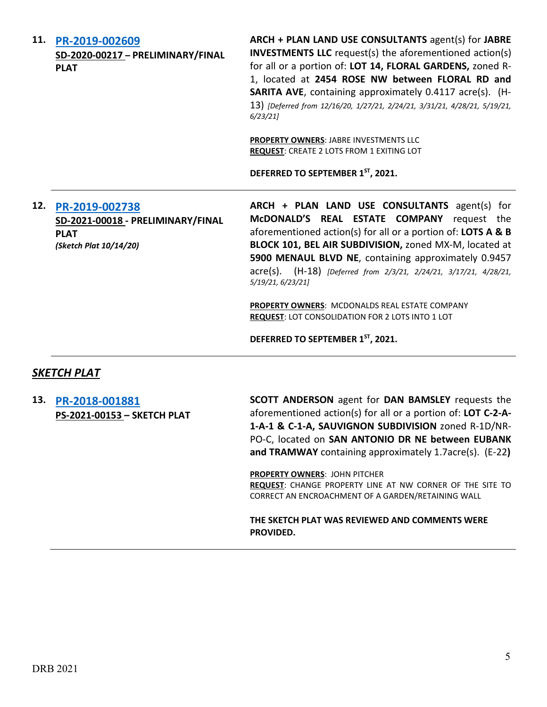**11. [PR-2019-002609](http://data.cabq.gov/government/planning/DRB/PR-2019-002609/DRB%20Submittals/) SD-2020-00217 – PRELIMINARY/FINAL PLAT**

**ARCH + PLAN LAND USE CONSULTANTS** agent(s) for **JABRE INVESTMENTS LLC** request(s) the aforementioned action(s) for all or a portion of: **LOT 14, FLORAL GARDENS,** zoned R-1, located at **2454 ROSE NW between FLORAL RD and SARITA AVE**, containing approximately 0.4117 acre(s). (H-13) *[Deferred from 12/16/20, 1/27/21, 2/24/21, 3/31/21, 4/28/21, 5/19/21, 6/23/21]*

**PROPERTY OWNERS**: JABRE INVESTMENTS LLC **REQUEST**: CREATE 2 LOTS FROM 1 EXITING LOT

**DEFERRED TO SEPTEMBER 1ST, 2021.**

#### **12. [PR-2019-002738](http://data.cabq.gov/government/planning/DRB/PR-2019-002738/DRB%20Submittals/) SD-2021-00018 - PRELIMINARY/FINAL PLAT** *(Sketch Plat 10/14/20)*

**ARCH + PLAN LAND USE CONSULTANTS** agent(s) for **McDONALD'S REAL ESTATE COMPANY** request the aforementioned action(s) for all or a portion of: **LOTS A & B BLOCK 101, BEL AIR SUBDIVISION,** zoned MX-M, located at **5900 MENAUL BLVD NE**, containing approximately 0.9457 acre(s). (H-18) *[Deferred from 2/3/21, 2/24/21, 3/17/21, 4/28/21, 5/19/21, 6/23/21]*

**PROPERTY OWNERS**: MCDONALDS REAL ESTATE COMPANY **REQUEST**: LOT CONSOLIDATION FOR 2 LOTS INTO 1 LOT

**DEFERRED TO SEPTEMBER 1ST, 2021.**

#### *SKETCH PLAT*

**13. [PR-2018-001881](http://data.cabq.gov/government/planning/DRB/PR-2018-001881/DRB%20Submittals/PR-2018-001881_July_28_2021/DRB%20Sketch%20Plat%20Application.pdf) PS-2021-00153 – SKETCH PLAT** **SCOTT ANDERSON** agent for **DAN BAMSLEY** requests the aforementioned action(s) for all or a portion of: **LOT C-2-A-1-A-1 & C-1-A, SAUVIGNON SUBDIVISION** zoned R-1D/NR-PO-C, located on **SAN ANTONIO DR NE between EUBANK and TRAMWAY** containing approximately 1.7acre(s). (E-22**)**

**PROPERTY OWNERS**: JOHN PITCHER **REQUEST**: CHANGE PROPERTY LINE AT NW CORNER OF THE SITE TO CORRECT AN ENCROACHMENT OF A GARDEN/RETAINING WALL

**THE SKETCH PLAT WAS REVIEWED AND COMMENTS WERE PROVIDED.**